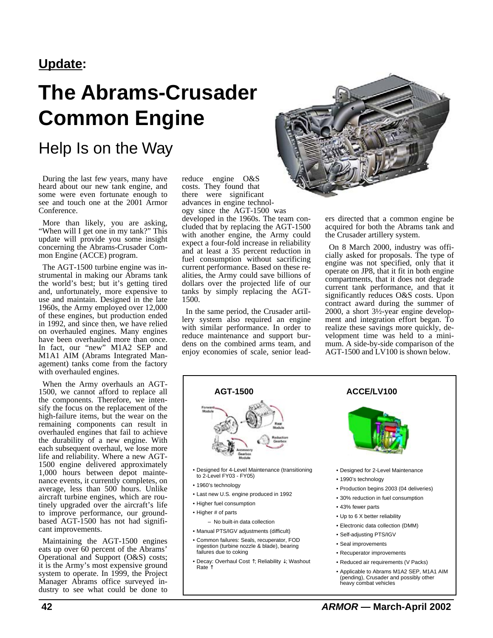### **Update:**

# **The Abrams-Crusader Common Engine**

## Help Is on the Way

During the last few years, many have heard about our new tank engine, and some were even fortunate enough to see and touch one at the 2001 Armor Conference.

More than likely, you are asking, "When will I get one in my tank?" This update will provide you some insight concerning the Abrams-Crusader Common Engine (ACCE) program.

The AGT-1500 turbine engine was instrumental in making our Abrams tank the world's best; but it's getting tired and, unfortunately, more expensive to use and maintain. Designed in the late 1960s, the Army employed over 12,000 of these engines, but production ended in 1992, and since then, we have relied on overhauled engines. Many engines have been overhauled more than once. In fact, our "new" M1A2 SEP and M1A1 AIM (Abrams Integrated Management) tanks come from the factory with overhauled engines.

When the Army overhauls an AGT-1500, we cannot afford to replace all the components. Therefore, we intensify the focus on the replacement of the high-failure items, but the wear on the remaining components can result in overhauled engines that fail to achieve the durability of a new engine. With each subsequent overhaul, we lose more life and reliability. Where a new AGT-1500 engine delivered approximately 1,000 hours between depot maintenance events, it currently completes, on average, less than 500 hours. Unlike aircraft turbine engines, which are routinely upgraded over the aircraft's life to improve performance, our groundbased AGT-1500 has not had significant improvements.

Maintaining the AGT-1500 engines eats up over 60 percent of the Abrams' Operational and Support (O&S) costs; it is the Army's most expensive ground system to operate. In 1999, the Project Manager Abrams office surveyed industry to see what could be done to

reduce engine O&S costs. They found that there were significant advances in engine technology since the AGT-1500 was

developed in the 1960s. The team concluded that by replacing the AGT-1500 with another engine, the Army could expect a four-fold increase in reliability and at least a 35 percent reduction in fuel consumption without sacrificing current performance. Based on these realities, the Army could save billions of dollars over the projected life of our tanks by simply replacing the AGT-1500.

In the same period, the Crusader artillery system also required an engine with similar performance. In order to reduce maintenance and support burdens on the combined arms team, and enjoy economies of scale, senior lead-



ers directed that a common engine be acquired for both the Abrams tank and the Crusader artillery system.

On 8 March 2000, industry was officially asked for proposals. The type of engine was not specified, only that it operate on JP8, that it fit in both engine compartments, that it does not degrade current tank performance, and that it significantly reduces O&S costs. Upon contract award during the summer of 2000, a short 3½-year engine development and integration effort began. To realize these savings more quickly, development time was held to a minimum. A side-by-side comparison of the AGT-1500 and LV100 is shown below.